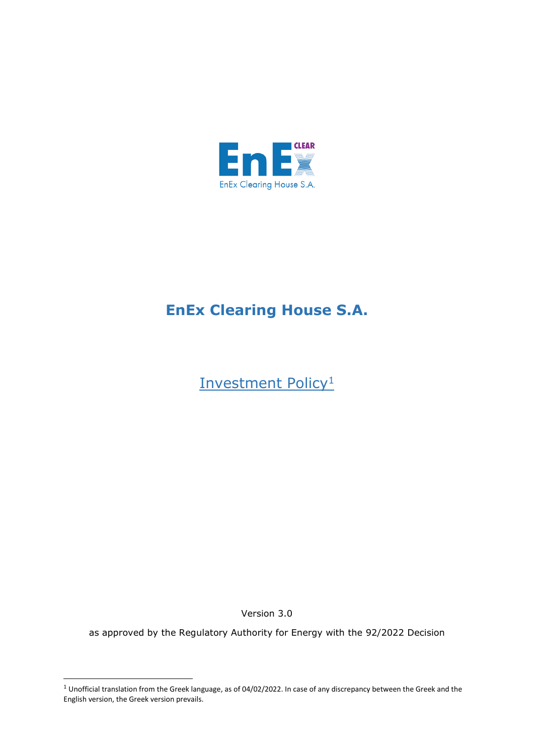

## **EnEx Clearing House S.A.**

Investment Policy<sup>1</sup>

Version 3.0

as approved by the Regulatory Authority for Energy with the 92/2022 Decision

 $1$  Unofficial translation from the Greek language, as of 04/02/2022. In case of any discrepancy between the Greek and the English version, the Greek version prevails.